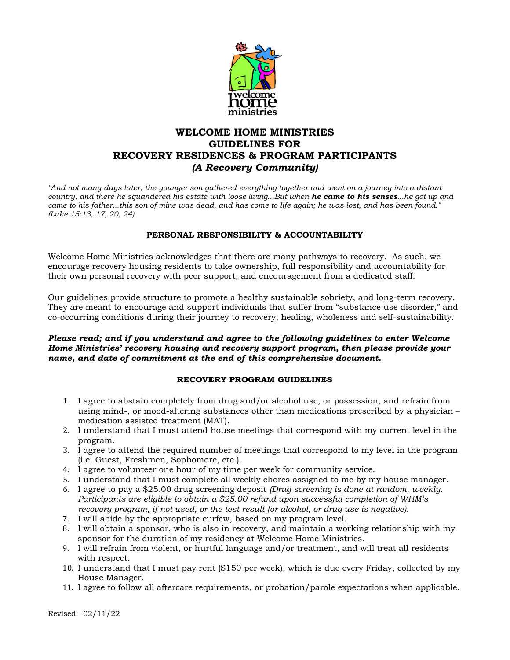

# **WELCOME HOME MINISTRIES GUIDELINES FOR RECOVERY RESIDENCES & PROGRAM PARTICIPANTS** *(A Recovery Community)*

*"And not many days later, the younger son gathered everything together and went on a journey into a distant country, and there he squandered his estate with loose living...But when he came to his senses...he got up and came to his father...this son of mine was dead, and has come to life again; he was lost, and has been found." (Luke 15:13, 17, 20, 24)* 

# **PERSONAL RESPONSIBILITY & ACCOUNTABILITY**

Welcome Home Ministries acknowledges that there are many pathways to recovery. As such, we encourage recovery housing residents to take ownership, full responsibility and accountability for their own personal recovery with peer support, and encouragement from a dedicated staff.

Our guidelines provide structure to promote a healthy sustainable sobriety, and long-term recovery. They are meant to encourage and support individuals that suffer from "substance use disorder," and co-occurring conditions during their journey to recovery, healing, wholeness and self-sustainability.

### *Please read; and if you understand and agree to the following guidelines to enter Welcome Home Ministries' recovery housing and recovery support program, then please provide your name, and date of commitment at the end of this comprehensive document.*

### **RECOVERY PROGRAM GUIDELINES**

- 1. I agree to abstain completely from drug and/or alcohol use, or possession, and refrain from using mind-, or mood-altering substances other than medications prescribed by a physician – medication assisted treatment (MAT).
- 2. I understand that I must attend house meetings that correspond with my current level in the program.
- 3. I agree to attend the required number of meetings that correspond to my level in the program (i.e. Guest, Freshmen, Sophomore, etc.).
- 4. I agree to volunteer one hour of my time per week for community service.
- 5. I understand that I must complete all weekly chores assigned to me by my house manager.
- 6. I agree to pay a \$25.00 drug screening deposit *(Drug screening is done at random, weekly. Participants are eligible to obtain a \$25.00 refund upon successful completion of WHM's recovery program, if not used, or the test result for alcohol, or drug use is negative).*
- 7. I will abide by the appropriate curfew, based on my program level.
- 8. I will obtain a sponsor, who is also in recovery, and maintain a working relationship with my sponsor for the duration of my residency at Welcome Home Ministries.
- 9. I will refrain from violent, or hurtful language and/or treatment, and will treat all residents with respect.
- 10. I understand that I must pay rent (\$150 per week), which is due every Friday, collected by my House Manager.
- 11. I agree to follow all aftercare requirements, or probation/parole expectations when applicable.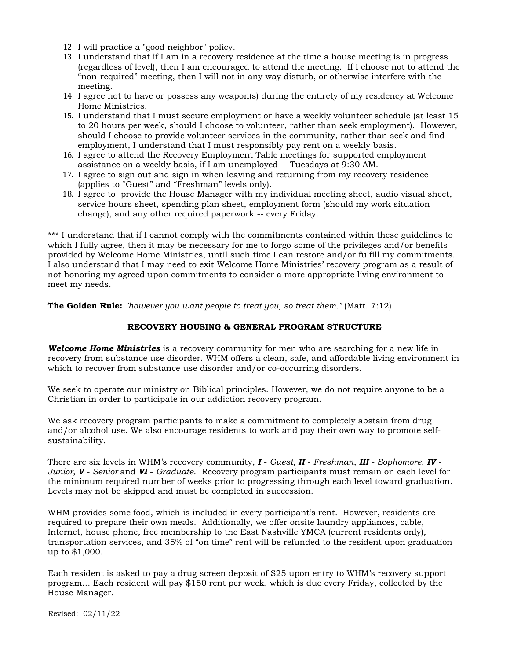- 12. I will practice a "good neighbor" policy.
- 13. I understand that if I am in a recovery residence at the time a house meeting is in progress (regardless of level), then I am encouraged to attend the meeting. If I choose not to attend the "non-required" meeting, then I will not in any way disturb, or otherwise interfere with the meeting.
- 14. I agree not to have or possess any weapon(s) during the entirety of my residency at Welcome Home Ministries.
- 15. I understand that I must secure employment or have a weekly volunteer schedule (at least 15 to 20 hours per week, should I choose to volunteer, rather than seek employment). However, should I choose to provide volunteer services in the community, rather than seek and find employment, I understand that I must responsibly pay rent on a weekly basis.
- 16. I agree to attend the Recovery Employment Table meetings for supported employment assistance on a weekly basis, if I am unemployed -- Tuesdays at 9:30 AM.
- 17. I agree to sign out and sign in when leaving and returning from my recovery residence (applies to "Guest" and "Freshman" levels only).
- 18. I agree to provide the House Manager with my individual meeting sheet, audio visual sheet, service hours sheet, spending plan sheet, employment form (should my work situation change), and any other required paperwork -- every Friday.

\*\*\* I understand that if I cannot comply with the commitments contained within these guidelines to which I fully agree, then it may be necessary for me to forgo some of the privileges and/or benefits provided by Welcome Home Ministries, until such time I can restore and/or fulfill my commitments. I also understand that I may need to exit Welcome Home Ministries' recovery program as a result of not honoring my agreed upon commitments to consider a more appropriate living environment to meet my needs.

**The Golden Rule:** *"however you want people to treat you, so treat them."* (Matt. 7:12)

## **RECOVERY HOUSING & GENERAL PROGRAM STRUCTURE**

*Welcome Home Ministries* is a recovery community for men who are searching for a new life in recovery from substance use disorder. WHM offers a clean, safe, and affordable living environment in which to recover from substance use disorder and/or co-occurring disorders.

We seek to operate our ministry on Biblical principles. However, we do not require anyone to be a Christian in order to participate in our addiction recovery program.

We ask recovery program participants to make a commitment to completely abstain from drug and/or alcohol use. We also encourage residents to work and pay their own way to promote selfsustainability.

There are six levels in WHM's recovery community, *I* - *Guest*, *II* - *Freshman*, *III* - *Sophomore*, *IV* - *Junior*, *V* - *Senior* and *VI* - *Graduate*. Recovery program participants must remain on each level for the minimum required number of weeks prior to progressing through each level toward graduation. Levels may not be skipped and must be completed in succession.

WHM provides some food, which is included in every participant's rent. However, residents are required to prepare their own meals. Additionally, we offer onsite laundry appliances, cable, Internet, house phone, free membership to the East Nashville YMCA (current residents only), transportation services, and 35% of "on time" rent will be refunded to the resident upon graduation up to \$1,000.

Each resident is asked to pay a drug screen deposit of \$25 upon entry to WHM's recovery support program… Each resident will pay \$150 rent per week, which is due every Friday, collected by the House Manager.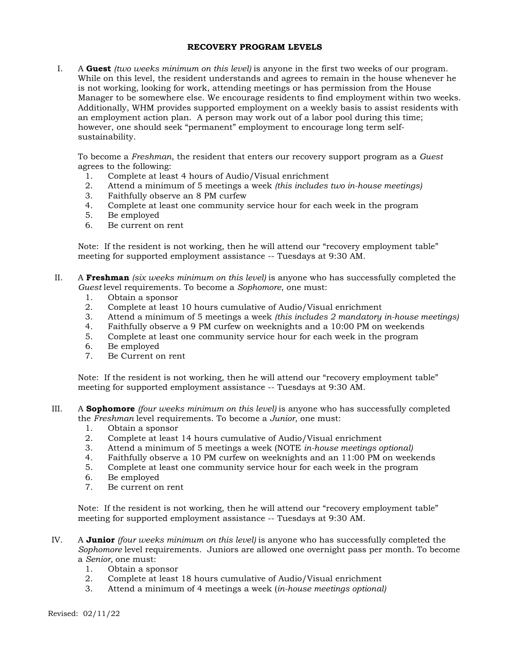#### **RECOVERY PROGRAM LEVELS**

I. A **Guest** *(two weeks minimum on this level)* is anyone in the first two weeks of our program. While on this level, the resident understands and agrees to remain in the house whenever he is not working, looking for work, attending meetings or has permission from the House Manager to be somewhere else. We encourage residents to find employment within two weeks. Additionally, WHM provides supported employment on a weekly basis to assist residents with an employment action plan. A person may work out of a labor pool during this time; however, one should seek "permanent" employment to encourage long term selfsustainability.

To become a *Freshman*, the resident that enters our recovery support program as a *Guest* agrees to the following:

- 1. Complete at least 4 hours of Audio/Visual enrichment
- 2. Attend a minimum of 5 meetings a week *(this includes two in-house meetings)*
- 3. Faithfully observe an 8 PM curfew
- 4. Complete at least one community service hour for each week in the program 5. Be employed
- 5. Be employed
- 6. Be current on rent

Note: If the resident is not working, then he will attend our "recovery employment table" meeting for supported employment assistance -- Tuesdays at 9:30 AM.

- II. A **Freshman** *(six weeks minimum on this level)* is anyone who has successfully completed the *Guest* level requirements. To become a *Sophomore*, one must:
	- 1. Obtain a sponsor<br>2. Complete at least
	- 2. Complete at least 10 hours cumulative of Audio/Visual enrichment
	- 3. Attend a minimum of 5 meetings a week *(this includes 2 mandatory in-house meetings)*
	- 4. Faithfully observe a 9 PM curfew on weeknights and a 10:00 PM on weekends
	- 5. Complete at least one community service hour for each week in the program
	- 6. Be employed
	- 7. Be Current on rent

Note: If the resident is not working, then he will attend our "recovery employment table" meeting for supported employment assistance -- Tuesdays at 9:30 AM.

- III. A **Sophomore** *(four weeks minimum on this level)* is anyone who has successfully completed the *Freshman* level requirements. To become a *Junior*, one must:
	- 1. Obtain a sponsor
	- 2. Complete at least 14 hours cumulative of Audio/Visual enrichment
	- 3. Attend a minimum of 5 meetings a week (NOTE *in-house meetings optional)*
	- 4. Faithfully observe a 10 PM curfew on weeknights and an 11:00 PM on weekends
	- 5. Complete at least one community service hour for each week in the program
	- 6. Be employed
	- 7. Be current on rent

Note: If the resident is not working, then he will attend our "recovery employment table" meeting for supported employment assistance -- Tuesdays at 9:30 AM.

- IV. A **Junior** *(four weeks minimum on this level)* is anyone who has successfully completed the *Sophomore* level requirements. Juniors are allowed one overnight pass per month. To become a *Senior,* one must:
	- 1. Obtain a sponsor
	- 2. Complete at least 18 hours cumulative of Audio/Visual enrichment
	- 3. Attend a minimum of 4 meetings a week (*in-house meetings optional)*